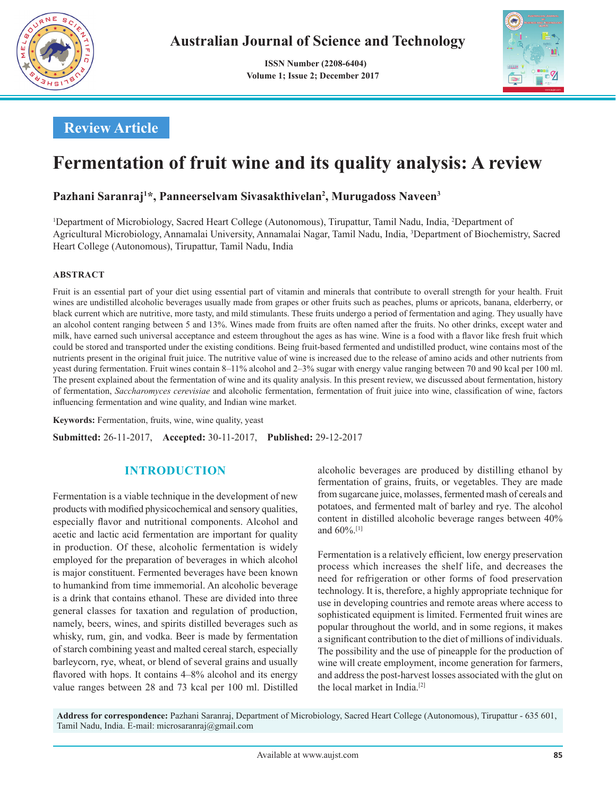

 **ISSN Number (2208-6404) Volume 1; Issue 2; December 2017**



## **Review Article**

# **Fermentation of fruit wine and its quality analysis: A review**

### **Pazhani Saranraj1 \*, Panneerselvam Sivasakthivelan2 , Murugadoss Naveen3**

1 Department of Microbiology, Sacred Heart College (Autonomous), Tirupattur, Tamil Nadu, India, 2 Department of Agricultural Microbiology, Annamalai University, Annamalai Nagar, Tamil Nadu, India, 3 Department of Biochemistry, Sacred Heart College (Autonomous), Tirupattur, Tamil Nadu, India

#### **ABSTRACT**

Fruit is an essential part of your diet using essential part of vitamin and minerals that contribute to overall strength for your health. Fruit wines are undistilled alcoholic beverages usually made from grapes or other fruits such as peaches, plums or apricots, banana, elderberry, or black current which are nutritive, more tasty, and mild stimulants. These fruits undergo a period of fermentation and aging. They usually have an alcohol content ranging between 5 and 13%. Wines made from fruits are often named after the fruits. No other drinks, except water and milk, have earned such universal acceptance and esteem throughout the ages as has wine. Wine is a food with a flavor like fresh fruit which could be stored and transported under the existing conditions. Being fruit-based fermented and undistilled product, wine contains most of the nutrients present in the original fruit juice. The nutritive value of wine is increased due to the release of amino acids and other nutrients from yeast during fermentation. Fruit wines contain 8–11% alcohol and 2–3% sugar with energy value ranging between 70 and 90 kcal per 100 ml. The present explained about the fermentation of wine and its quality analysis. In this present review, we discussed about fermentation, history of fermentation, *Saccharomyces cerevisiae* and alcoholic fermentation, fermentation of fruit juice into wine, classification of wine, factors influencing fermentation and wine quality, and Indian wine market.

**Keywords:** Fermentation, fruits, wine, wine quality, yeast

**Submitted:** 26-11-2017, **Accepted:** 30-11-2017, **Published:** 29-12-2017

#### **INTRODUCTION**

Fermentation is a viable technique in the development of new products with modified physicochemical and sensory qualities, especially flavor and nutritional components. Alcohol and acetic and lactic acid fermentation are important for quality in production. Of these, alcoholic fermentation is widely employed for the preparation of beverages in which alcohol is major constituent. Fermented beverages have been known to humankind from time immemorial. An alcoholic beverage is a drink that contains ethanol. These are divided into three general classes for taxation and regulation of production, namely, beers, wines, and spirits distilled beverages such as whisky, rum, gin, and vodka. Beer is made by fermentation of starch combining yeast and malted cereal starch, especially barleycorn, rye, wheat, or blend of several grains and usually flavored with hops. It contains  $4-8\%$  alcohol and its energy value ranges between 28 and 73 kcal per 100 ml. Distilled alcoholic beverages are produced by distilling ethanol by fermentation of grains, fruits, or vegetables. They are made from sugarcane juice, molasses, fermented mash of cereals and potatoes, and fermented malt of barley and rye. The alcohol content in distilled alcoholic beverage ranges between 40% and  $60\%$ <sup>[1]</sup>

Fermentation is a relatively efficient, low energy preservation process which increases the shelf life, and decreases the need for refrigeration or other forms of food preservation technology. It is, therefore, a highly appropriate technique for use in developing countries and remote areas where access to sophisticated equipment is limited. Fermented fruit wines are popular throughout the world, and in some regions, it makes a significant contribution to the diet of millions of individuals. The possibility and the use of pineapple for the production of wine will create employment, income generation for farmers, and address the post-harvest losses associated with the glut on the local market in India.[2]

**Address for correspondence:** Pazhani Saranraj, Department of Microbiology, Sacred Heart College (Autonomous), Tirupattur - 635 601, Tamil Nadu, India. E-mail: microsaranraj@gmail.com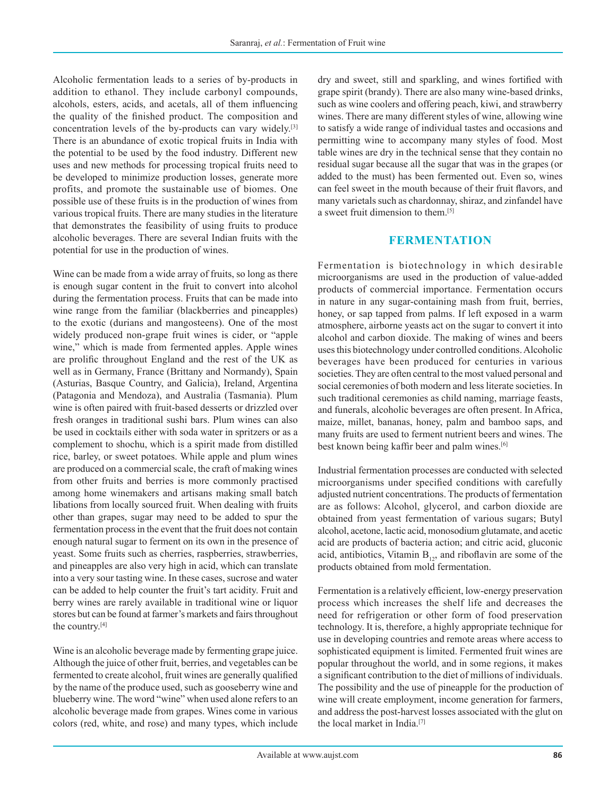Alcoholic fermentation leads to a series of by-products in addition to ethanol. They include carbonyl compounds, alcohols, esters, acids, and acetals, all of them influencing the quality of the finished product. The composition and concentration levels of the by-products can vary widely.[3] There is an abundance of exotic tropical fruits in India with the potential to be used by the food industry. Different new uses and new methods for processing tropical fruits need to be developed to minimize production losses, generate more profits, and promote the sustainable use of biomes. One possible use of these fruits is in the production of wines from various tropical fruits. There are many studies in the literature that demonstrates the feasibility of using fruits to produce alcoholic beverages. There are several Indian fruits with the potential for use in the production of wines.

Wine can be made from a wide array of fruits, so long as there is enough sugar content in the fruit to convert into alcohol during the fermentation process. Fruits that can be made into wine range from the familiar (blackberries and pineapples) to the exotic (durians and mangosteens). One of the most widely produced non-grape fruit wines is cider, or "apple wine," which is made from fermented apples. Apple wines are prolific throughout England and the rest of the UK as well as in Germany, France (Brittany and Normandy), Spain (Asturias, Basque Country, and Galicia), Ireland, Argentina (Patagonia and Mendoza), and Australia (Tasmania). Plum wine is often paired with fruit-based desserts or drizzled over fresh oranges in traditional sushi bars. Plum wines can also be used in cocktails either with soda water in spritzers or as a complement to shochu, which is a spirit made from distilled rice, barley, or sweet potatoes. While apple and plum wines are produced on a commercial scale, the craft of making wines from other fruits and berries is more commonly practised among home winemakers and artisans making small batch libations from locally sourced fruit. When dealing with fruits other than grapes, sugar may need to be added to spur the fermentation process in the event that the fruit does not contain enough natural sugar to ferment on its own in the presence of yeast. Some fruits such as cherries, raspberries, strawberries, and pineapples are also very high in acid, which can translate into a very sour tasting wine. In these cases, sucrose and water can be added to help counter the fruit's tart acidity. Fruit and berry wines are rarely available in traditional wine or liquor stores but can be found at farmer's markets and fairs throughout the country.[4]

Wine is an alcoholic beverage made by fermenting grape juice. Although the juice of other fruit, berries, and vegetables can be fermented to create alcohol, fruit wines are generally qualified by the name of the produce used, such as gooseberry wine and blueberry wine. The word "wine" when used alone refers to an alcoholic beverage made from grapes. Wines come in various colors (red, white, and rose) and many types, which include dry and sweet, still and sparkling, and wines fortified with grape spirit (brandy). There are also many wine-based drinks, such as wine coolers and offering peach, kiwi, and strawberry wines. There are many different styles of wine, allowing wine to satisfy a wide range of individual tastes and occasions and permitting wine to accompany many styles of food. Most table wines are dry in the technical sense that they contain no residual sugar because all the sugar that was in the grapes (or added to the must) has been fermented out. Even so, wines can feel sweet in the mouth because of their fruit flavors, and many varietals such as chardonnay, shiraz, and zinfandel have a sweet fruit dimension to them.[5]

#### **FERMENTATION**

Fermentation is biotechnology in which desirable microorganisms are used in the production of value-added products of commercial importance. Fermentation occurs in nature in any sugar-containing mash from fruit, berries, honey, or sap tapped from palms. If left exposed in a warm atmosphere, airborne yeasts act on the sugar to convert it into alcohol and carbon dioxide. The making of wines and beers uses this biotechnology under controlled conditions. Alcoholic beverages have been produced for centuries in various societies. They are often central to the most valued personal and social ceremonies of both modern and less literate societies. In such traditional ceremonies as child naming, marriage feasts, and funerals, alcoholic beverages are often present. In Africa, maize, millet, bananas, honey, palm and bamboo saps, and many fruits are used to ferment nutrient beers and wines. The best known being kaffir beer and palm wines.[6]

Industrial fermentation processes are conducted with selected microorganisms under specified conditions with carefully adjusted nutrient concentrations. The products of fermentation are as follows: Alcohol, glycerol, and carbon dioxide are obtained from yeast fermentation of various sugars; Butyl alcohol, acetone, lactic acid, monosodium glutamate, and acetic acid are products of bacteria action; and citric acid, gluconic acid, antibiotics, Vitamin  $B_{12}$ , and riboflavin are some of the products obtained from mold fermentation.

Fermentation is a relatively efficient, low-energy preservation process which increases the shelf life and decreases the need for refrigeration or other form of food preservation technology. It is, therefore, a highly appropriate technique for use in developing countries and remote areas where access to sophisticated equipment is limited. Fermented fruit wines are popular throughout the world, and in some regions, it makes a significant contribution to the diet of millions of individuals. The possibility and the use of pineapple for the production of wine will create employment, income generation for farmers, and address the post-harvest losses associated with the glut on the local market in India.[7]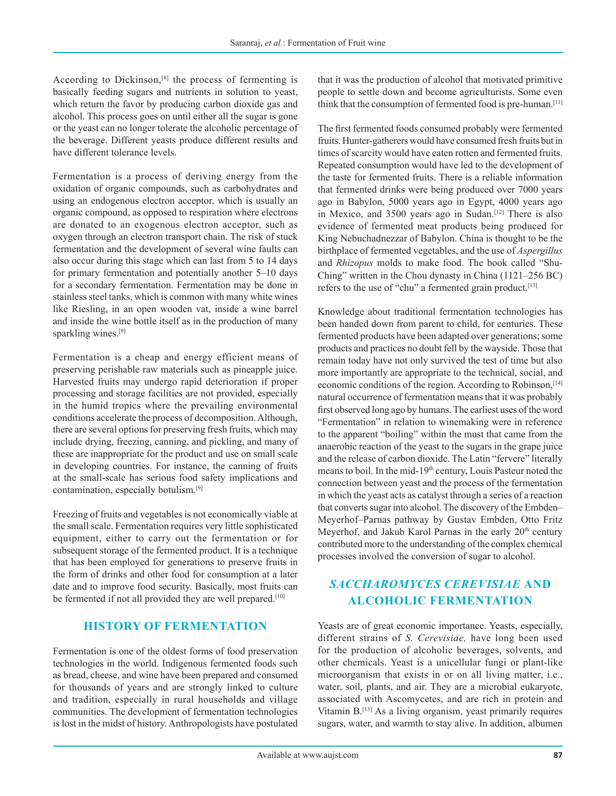According to Dickinson,<sup>[8]</sup> the process of fermenting is basically feeding sugars and nutrients in solution to yeast, which return the favor by producing carbon dioxide gas and alcohol. This process goes on until either all the sugar is gone or the yeast can no longer tolerate the alcoholic percentage of the beverage. Different yeasts produce different results and have different tolerance levels.

Fermentation is a process of deriving energy from the oxidation of organic compounds, such as carbohydrates and using an endogenous electron acceptor, which is usually an organic compound, as opposed to respiration where electrons are donated to an exogenous electron acceptor, such as oxygen through an electron transport chain. The risk of stuck fermentation and the development of several wine faults can also occur during this stage which can last from 5 to 14 days for primary fermentation and potentially another 5–10 days for a secondary fermentation. Fermentation may be done in stainless steel tanks, which is common with many white wines like Riesling, in an open wooden vat, inside a wine barrel and inside the wine bottle itself as in the production of many sparkling wines.<sup>[9]</sup>

Fermentation is a cheap and energy efficient means of preserving perishable raw materials such as pineapple juice. Harvested fruits may undergo rapid deterioration if proper processing and storage facilities are not provided, especially in the humid tropics where the prevailing environmental conditions accelerate the process of decomposition. Although, there are several options for preserving fresh fruits, which may include drying, freezing, canning, and pickling, and many of these are inappropriate for the product and use on small scale in developing countries. For instance, the canning of fruits at the small-scale has serious food safety implications and contamination, especially botulism.[9]

Freezing of fruits and vegetables is not economically viable at the small scale. Fermentation requires very little sophisticated equipment, either to carry out the fermentation or for subsequent storage of the fermented product. It is a technique that has been employed for generations to preserve fruits in the form of drinks and other food for consumption at a later date and to improve food security. Basically, most fruits can be fermented if not all provided they are well prepared.<sup>[10]</sup>

#### **HISTORY OF FERMENTATION**

Fermentation is one of the oldest forms of food preservation technologies in the world. Indigenous fermented foods such as bread, cheese, and wine have been prepared and consumed for thousands of years and are strongly linked to culture and tradition, especially in rural households and village communities. The development of fermentation technologies is lost in the midst of history. Anthropologists have postulated

that it was the production of alcohol that motivated primitive people to settle down and become agriculturists. Some even think that the consumption of fermented food is pre-human.<sup>[11]</sup>

The first fermented foods consumed probably were fermented fruits. Hunter-gatherers would have consumed fresh fruits but in times of scarcity would have eaten rotten and fermented fruits. Repeated consumption would have led to the development of the taste for fermented fruits. There is a reliable information that fermented drinks were being produced over 7000 years ago in Babylon, 5000 years ago in Egypt, 4000 years ago in Mexico, and 3500 years ago in Sudan.<sup>[12]</sup> There is also evidence of fermented meat products being produced for King Nebuchadnezzar of Babylon. China is thought to be the birthplace of fermented vegetables, and the use of *Aspergillus* and *Rhizopus* molds to make food. The book called "Shu-Ching" written in the Chou dynasty in China (1121–256 BC) refers to the use of "chu" a fermented grain product.<sup>[13]</sup>

Knowledge about traditional fermentation technologies has been handed down from parent to child, for centuries. These fermented products have been adapted over generations; some products and practices no doubt fell by the wayside. Those that remain today have not only survived the test of time but also more importantly are appropriate to the technical, social, and economic conditions of the region. According to Robinson,<sup>[14]</sup> natural occurrence of fermentation means that it was probably first observed long ago by humans. The earliest uses of the word "Fermentation" in relation to winemaking were in reference to the apparent "boiling" within the must that came from the anaerobic reaction of the yeast to the sugars in the grape juice and the release of carbon dioxide. The Latin "fervere" literally means to boil. In the mid-19th century, Louis Pasteur noted the connection between yeast and the process of the fermentation in which the yeast acts as catalyst through a series of a reaction that converts sugar into alcohol. The discovery of the Embden– Meyerhof–Parnas pathway by Gustav Embden, Otto Fritz Meyerhof, and Jakub Karol Parnas in the early  $20<sup>th</sup>$  century contributed more to the understanding of the complex chemical processes involved the conversion of sugar to alcohol.

## *SACCHAROMYCES CEREVISIAE* **AND ALCOHOLIC FERMENTATION**

Yeasts are of great economic importance. Yeasts, especially, different strains of *S. Cerevisiae,* have long been used for the production of alcoholic beverages, solvents, and other chemicals. Yeast is a unicellular fungi or plant-like microorganism that exists in or on all living matter, i.e., water, soil, plants, and air. They are a microbial eukaryote, associated with Ascomycetes, and are rich in protein and Vitamin B.<sup>[15]</sup> As a living organism, yeast primarily requires sugars, water, and warmth to stay alive. In addition, albumen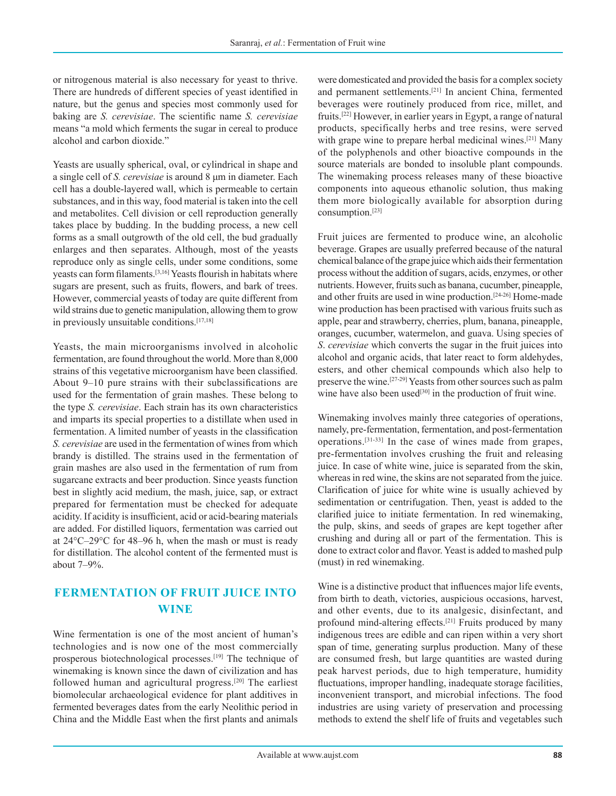or nitrogenous material is also necessary for yeast to thrive. There are hundreds of different species of yeast identified in nature, but the genus and species most commonly used for baking are *S. cerevisiae*. The scientific name *S. cerevisiae* means "a mold which ferments the sugar in cereal to produce alcohol and carbon dioxide."

Yeasts are usually spherical, oval, or cylindrical in shape and a single cell of *S. cerevisiae* is around 8 μm in diameter. Each cell has a double-layered wall, which is permeable to certain substances, and in this way, food material is taken into the cell and metabolites. Cell division or cell reproduction generally takes place by budding. In the budding process, a new cell forms as a small outgrowth of the old cell, the bud gradually enlarges and then separates. Although, most of the yeasts reproduce only as single cells, under some conditions, some yeasts can form filaments.[3,16] Yeasts flourish in habitats where sugars are present, such as fruits, flowers, and bark of trees. However, commercial yeasts of today are quite different from wild strains due to genetic manipulation, allowing them to grow in previously unsuitable conditions.[17,18]

Yeasts, the main microorganisms involved in alcoholic fermentation, are found throughout the world. More than 8,000 strains of this vegetative microorganism have been classified. About 9–10 pure strains with their subclassifications are used for the fermentation of grain mashes. These belong to the type *S. cerevisiae*. Each strain has its own characteristics and imparts its special properties to a distillate when used in fermentation. A limited number of yeasts in the classification *S. cerevisiae* are used in the fermentation of wines from which brandy is distilled. The strains used in the fermentation of grain mashes are also used in the fermentation of rum from sugarcane extracts and beer production. Since yeasts function best in slightly acid medium, the mash, juice, sap, or extract prepared for fermentation must be checked for adequate acidity. If acidity is insufficient, acid or acid-bearing materials are added. For distilled liquors, fermentation was carried out at 24°C–29°C for 48–96 h, when the mash or must is ready for distillation. The alcohol content of the fermented must is about 7–9%.

## **FERMENTATION OF FRUIT JUICE INTO WINE**

Wine fermentation is one of the most ancient of human's technologies and is now one of the most commercially prosperous biotechnological processes.<sup>[19]</sup> The technique of winemaking is known since the dawn of civilization and has followed human and agricultural progress.[20] The earliest biomolecular archaeological evidence for plant additives in fermented beverages dates from the early Neolithic period in China and the Middle East when the first plants and animals were domesticated and provided the basis for a complex society and permanent settlements.[21] In ancient China, fermented beverages were routinely produced from rice, millet, and fruits.[22] However, in earlier years in Egypt, a range of natural products, specifically herbs and tree resins, were served with grape wine to prepare herbal medicinal wines.<sup>[21]</sup> Many of the polyphenols and other bioactive compounds in the source materials are bonded to insoluble plant compounds. The winemaking process releases many of these bioactive components into aqueous ethanolic solution, thus making them more biologically available for absorption during consumption.[23]

Fruit juices are fermented to produce wine, an alcoholic beverage. Grapes are usually preferred because of the natural chemical balance of the grape juice which aids their fermentation process without the addition of sugars, acids, enzymes, or other nutrients. However, fruits such as banana, cucumber, pineapple, and other fruits are used in wine production.[24-26] Home-made wine production has been practised with various fruits such as apple, pear and strawberry, cherries, plum, banana, pineapple, oranges, cucumber, watermelon, and guava. Using species of *S*. *cerevisiae* which converts the sugar in the fruit juices into alcohol and organic acids, that later react to form aldehydes, esters, and other chemical compounds which also help to preserve the wine.[27-29] Yeasts from other sources such as palm wine have also been used $[30]$  in the production of fruit wine.

Winemaking involves mainly three categories of operations, namely, pre-fermentation, fermentation, and post-fermentation operations.[31-33] In the case of wines made from grapes, pre-fermentation involves crushing the fruit and releasing juice. In case of white wine, juice is separated from the skin, whereas in red wine, the skins are not separated from the juice. Clarification of juice for white wine is usually achieved by sedimentation or centrifugation. Then, yeast is added to the clarified juice to initiate fermentation. In red winemaking, the pulp, skins, and seeds of grapes are kept together after crushing and during all or part of the fermentation. This is done to extract color and flavor. Yeast is added to mashed pulp (must) in red winemaking.

Wine is a distinctive product that influences major life events, from birth to death, victories, auspicious occasions, harvest, and other events, due to its analgesic, disinfectant, and profound mind-altering effects.[21] Fruits produced by many indigenous trees are edible and can ripen within a very short span of time, generating surplus production. Many of these are consumed fresh, but large quantities are wasted during peak harvest periods, due to high temperature, humidity fluctuations, improper handling, inadequate storage facilities, inconvenient transport, and microbial infections. The food industries are using variety of preservation and processing methods to extend the shelf life of fruits and vegetables such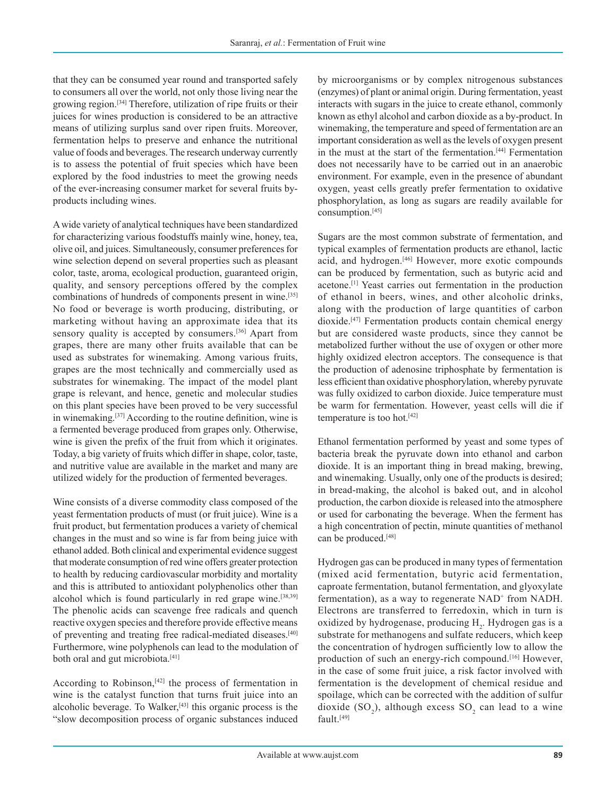that they can be consumed year round and transported safely to consumers all over the world, not only those living near the growing region.[34] Therefore, utilization of ripe fruits or their juices for wines production is considered to be an attractive means of utilizing surplus sand over ripen fruits. Moreover, fermentation helps to preserve and enhance the nutritional value of foods and beverages. The research underway currently is to assess the potential of fruit species which have been explored by the food industries to meet the growing needs of the ever-increasing consumer market for several fruits byproducts including wines.

A wide variety of analytical techniques have been standardized for characterizing various foodstuffs mainly wine, honey, tea, olive oil, and juices. Simultaneously, consumer preferences for wine selection depend on several properties such as pleasant color, taste, aroma, ecological production, guaranteed origin, quality, and sensory perceptions offered by the complex combinations of hundreds of components present in wine.[35] No food or beverage is worth producing, distributing, or marketing without having an approximate idea that its sensory quality is accepted by consumers.<sup>[36]</sup> Apart from grapes, there are many other fruits available that can be used as substrates for winemaking. Among various fruits, grapes are the most technically and commercially used as substrates for winemaking. The impact of the model plant grape is relevant, and hence, genetic and molecular studies on this plant species have been proved to be very successful in winemaking.[37] According to the routine definition, wine is a fermented beverage produced from grapes only. Otherwise, wine is given the prefix of the fruit from which it originates. Today, a big variety of fruits which differ in shape, color, taste, and nutritive value are available in the market and many are utilized widely for the production of fermented beverages.

Wine consists of a diverse commodity class composed of the yeast fermentation products of must (or fruit juice). Wine is a fruit product, but fermentation produces a variety of chemical changes in the must and so wine is far from being juice with ethanol added. Both clinical and experimental evidence suggest that moderate consumption of red wine offers greater protection to health by reducing cardiovascular morbidity and mortality and this is attributed to antioxidant polyphenolics other than alcohol which is found particularly in red grape wine. $[38,39]$ The phenolic acids can scavenge free radicals and quench reactive oxygen species and therefore provide effective means of preventing and treating free radical-mediated diseases.[40] Furthermore, wine polyphenols can lead to the modulation of both oral and gut microbiota.<sup>[41]</sup>

According to Robinson,<sup>[42]</sup> the process of fermentation in wine is the catalyst function that turns fruit juice into an alcoholic beverage. To Walker, $[43]$  this organic process is the "slow decomposition process of organic substances induced by microorganisms or by complex nitrogenous substances (enzymes) of plant or animal origin. During fermentation, yeast interacts with sugars in the juice to create ethanol, commonly known as ethyl alcohol and carbon dioxide as a by-product. In winemaking, the temperature and speed of fermentation are an important consideration as well as the levels of oxygen present in the must at the start of the fermentation.[44] Fermentation does not necessarily have to be carried out in an anaerobic environment. For example, even in the presence of abundant oxygen, yeast cells greatly prefer fermentation to oxidative phosphorylation, as long as sugars are readily available for consumption.[45]

Sugars are the most common substrate of fermentation, and typical examples of fermentation products are ethanol, lactic acid, and hydrogen.[46] However, more exotic compounds can be produced by fermentation, such as butyric acid and acetone.[1] Yeast carries out fermentation in the production of ethanol in beers, wines, and other alcoholic drinks, along with the production of large quantities of carbon dioxide.[47] Fermentation products contain chemical energy but are considered waste products, since they cannot be metabolized further without the use of oxygen or other more highly oxidized electron acceptors. The consequence is that the production of adenosine triphosphate by fermentation is less efficient than oxidative phosphorylation, whereby pyruvate was fully oxidized to carbon dioxide. Juice temperature must be warm for fermentation. However, yeast cells will die if temperature is too hot.[42]

Ethanol fermentation performed by yeast and some types of bacteria break the pyruvate down into ethanol and carbon dioxide. It is an important thing in bread making, brewing, and winemaking. Usually, only one of the products is desired; in bread-making, the alcohol is baked out, and in alcohol production, the carbon dioxide is released into the atmosphere or used for carbonating the beverage. When the ferment has a high concentration of pectin, minute quantities of methanol can be produced.<sup>[48]</sup>

Hydrogen gas can be produced in many types of fermentation (mixed acid fermentation, butyric acid fermentation, caproate fermentation, butanol fermentation, and glyoxylate fermentation), as a way to regenerate NAD<sup>+</sup> from NADH. Electrons are transferred to ferredoxin, which in turn is oxidized by hydrogenase, producing  $H_2$ . Hydrogen gas is a substrate for methanogens and sulfate reducers, which keep the concentration of hydrogen sufficiently low to allow the production of such an energy-rich compound.<sup>[16]</sup> However, in the case of some fruit juice, a risk factor involved with fermentation is the development of chemical residue and spoilage, which can be corrected with the addition of sulfur dioxide  $(SO_2)$ , although excess  $SO_2$  can lead to a wine fault.<sup>[49]</sup>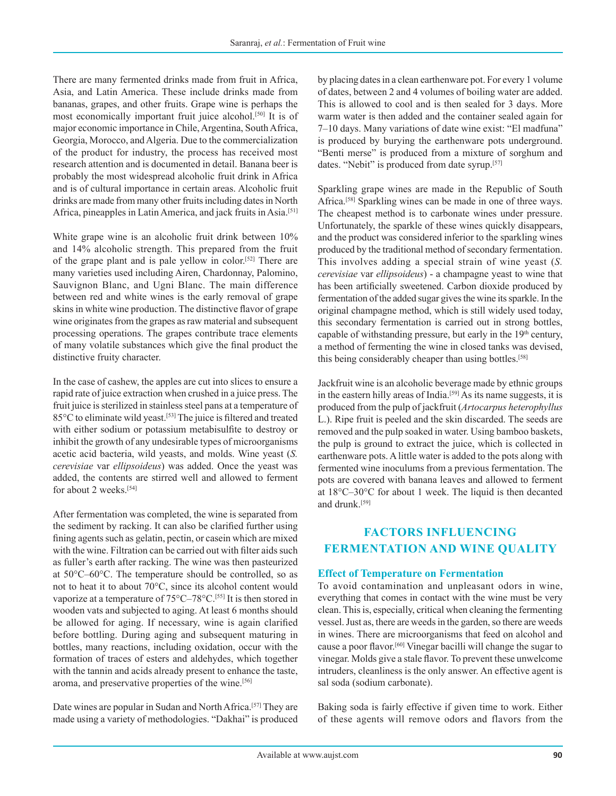There are many fermented drinks made from fruit in Africa, Asia, and Latin America. These include drinks made from bananas, grapes, and other fruits. Grape wine is perhaps the most economically important fruit juice alcohol.[50] It is of major economic importance in Chile, Argentina, South Africa, Georgia, Morocco, and Algeria. Due to the commercialization of the product for industry, the process has received most research attention and is documented in detail. Banana beer is probably the most widespread alcoholic fruit drink in Africa and is of cultural importance in certain areas. Alcoholic fruit drinks are made from many other fruits including dates in North Africa, pineapples in Latin America, and jack fruits in Asia.[51]

White grape wine is an alcoholic fruit drink between  $10\%$ and 14% alcoholic strength. This prepared from the fruit of the grape plant and is pale yellow in color.[52] There are many varieties used including Airen, Chardonnay, Palomino, Sauvignon Blanc, and Ugni Blanc. The main difference between red and white wines is the early removal of grape skins in white wine production. The distinctive flavor of grape wine originates from the grapes as raw material and subsequent processing operations. The grapes contribute trace elements of many volatile substances which give the final product the distinctive fruity character.

In the case of cashew, the apples are cut into slices to ensure a rapid rate of juice extraction when crushed in a juice press. The fruit juice is sterilized in stainless steel pans at a temperature of 85°C to eliminate wild yeast.[53] The juice is filtered and treated with either sodium or potassium metabisulfite to destroy or inhibit the growth of any undesirable types of microorganisms acetic acid bacteria, wild yeasts, and molds. Wine yeast (*S. cerevisiae* var *ellipsoideus*) was added. Once the yeast was added, the contents are stirred well and allowed to ferment for about 2 weeks.<sup>[54]</sup>

After fermentation was completed, the wine is separated from the sediment by racking. It can also be clarified further using fining agents such as gelatin, pectin, or casein which are mixed with the wine. Filtration can be carried out with filter aids such as fuller's earth after racking. The wine was then pasteurized at 50°C–60°C. The temperature should be controlled, so as not to heat it to about 70°C, since its alcohol content would vaporize at a temperature of  $75^{\circ}$ C $-78^{\circ}$ C $^{[55]}$  It is then stored in wooden vats and subjected to aging. At least 6 months should be allowed for aging. If necessary, wine is again clarified before bottling. During aging and subsequent maturing in bottles, many reactions, including oxidation, occur with the formation of traces of esters and aldehydes, which together with the tannin and acids already present to enhance the taste, aroma, and preservative properties of the wine.[56]

Date wines are popular in Sudan and North Africa.[57] They are made using a variety of methodologies. "Dakhai" is produced

by placing dates in a clean earthenware pot. For every 1 volume of dates, between 2 and 4 volumes of boiling water are added. This is allowed to cool and is then sealed for 3 days. More warm water is then added and the container sealed again for 7–10 days. Many variations of date wine exist: "El madfuna" is produced by burying the earthenware pots underground. "Benti merse" is produced from a mixture of sorghum and dates. "Nebit" is produced from date syrup.<sup>[57]</sup>

Sparkling grape wines are made in the Republic of South Africa.<sup>[58]</sup> Sparkling wines can be made in one of three ways. The cheapest method is to carbonate wines under pressure. Unfortunately, the sparkle of these wines quickly disappears, and the product was considered inferior to the sparkling wines produced by the traditional method of secondary fermentation. This involves adding a special strain of wine yeast (*S. cerevisiae* var *ellipsoideus*) - a champagne yeast to wine that has been artificially sweetened. Carbon dioxide produced by fermentation of the added sugar gives the wine its sparkle. In the original champagne method, which is still widely used today, this secondary fermentation is carried out in strong bottles, capable of withstanding pressure, but early in the  $19<sup>th</sup>$  century, a method of fermenting the wine in closed tanks was devised, this being considerably cheaper than using bottles.<sup>[58]</sup>

Jackfruit wine is an alcoholic beverage made by ethnic groups in the eastern hilly areas of India.<sup>[59]</sup> As its name suggests, it is produced from the pulp of jackfruit (*Artocarpus heterophyllus* L.). Ripe fruit is peeled and the skin discarded. The seeds are removed and the pulp soaked in water. Using bamboo baskets, the pulp is ground to extract the juice, which is collected in earthenware pots. Alittle water is added to the pots along with fermented wine inoculums from a previous fermentation. The pots are covered with banana leaves and allowed to ferment at 18°C–30°C for about 1 week. The liquid is then decanted and drunk.[59]

## **FACTORS INFLUENCING FERMENTATION AND WINE QUALITY**

#### **Effect of Temperature on Fermentation**

To avoid contamination and unpleasant odors in wine, everything that comes in contact with the wine must be very clean. This is, especially, critical when cleaning the fermenting vessel. Just as, there are weeds in the garden, so there are weeds in wines. There are microorganisms that feed on alcohol and cause a poor flavor.[60] Vinegar bacilli will change the sugar to vinegar. Molds give a stale flavor. To prevent these unwelcome intruders, cleanliness is the only answer. An effective agent is sal soda (sodium carbonate).

Baking soda is fairly effective if given time to work. Either of these agents will remove odors and flavors from the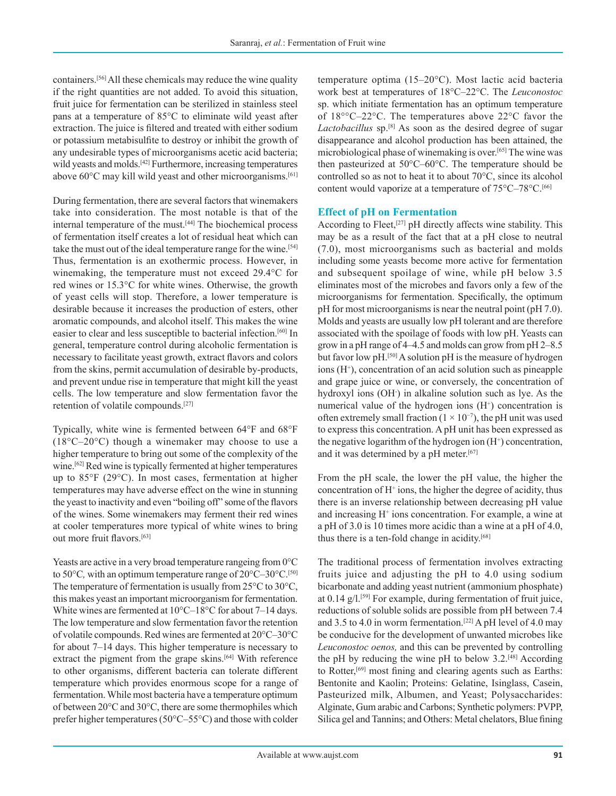containers.[56] All these chemicals may reduce the wine quality if the right quantities are not added. To avoid this situation, fruit juice for fermentation can be sterilized in stainless steel pans at a temperature of 85°C to eliminate wild yeast after extraction. The juice is filtered and treated with either sodium or potassium metabisulfite to destroy or inhibit the growth of any undesirable types of microorganisms acetic acid bacteria; wild yeasts and molds.<sup>[42]</sup> Furthermore, increasing temperatures above 60°C may kill wild yeast and other microorganisms.<sup>[61]</sup>

During fermentation, there are several factors that winemakers take into consideration. The most notable is that of the internal temperature of the must.<sup>[44]</sup> The biochemical process of fermentation itself creates a lot of residual heat which can take the must out of the ideal temperature range for the wine.<sup>[54]</sup> Thus, fermentation is an exothermic process. However, in winemaking, the temperature must not exceed 29.4°C for red wines or 15.3°C for white wines. Otherwise, the growth of yeast cells will stop. Therefore, a lower temperature is desirable because it increases the production of esters, other aromatic compounds, and alcohol itself. This makes the wine easier to clear and less susceptible to bacterial infection.[60] In general, temperature control during alcoholic fermentation is necessary to facilitate yeast growth, extract flavors and colors from the skins, permit accumulation of desirable by-products, and prevent undue rise in temperature that might kill the yeast cells. The low temperature and slow fermentation favor the retention of volatile compounds.[27]

Typically, white wine is fermented between 64°F and 68°F (18°C–20°C) though a winemaker may choose to use a higher temperature to bring out some of the complexity of the wine.<sup>[62]</sup> Red wine is typically fermented at higher temperatures up to 85°F (29°C). In most cases, fermentation at higher temperatures may have adverse effect on the wine in stunning the yeast to inactivity and even "boiling off" some of the flavors of the wines. Some winemakers may ferment their red wines at cooler temperatures more typical of white wines to bring out more fruit flavors.[63]

Yeasts are active in a very broad temperature rangeing from 0°C to 50°C, with an optimum temperature range of 20°C–30°C.<sup>[50]</sup> The temperature of fermentation is usually from 25°C to 30°C, this makes yeast an important microorganism for fermentation. White wines are fermented at 10°C–18°C for about 7–14 days. The low temperature and slow fermentation favor the retention of volatile compounds. Red wines are fermented at 20°C–30°C for about 7–14 days. This higher temperature is necessary to extract the pigment from the grape skins.<sup>[64]</sup> With reference to other organisms, different bacteria can tolerate different temperature which provides enormous scope for a range of fermentation. While most bacteria have a temperature optimum of between 20°C and 30°C, there are some thermophiles which prefer higher temperatures (50°C–55°C) and those with colder temperature optima (15–20°C). Most lactic acid bacteria work best at temperatures of 18°C–22°C. The *Leuconostoc* sp. which initiate fermentation has an optimum temperature of 18°°C–22°C. The temperatures above 22°C favor the Lactobacillus sp.<sup>[8]</sup> As soon as the desired degree of sugar disappearance and alcohol production has been attained, the microbiological phase of winemaking is over.[65] The wine was then pasteurized at 50°C–60°C. The temperature should be controlled so as not to heat it to about 70°C, since its alcohol content would vaporize at a temperature of 75°C–78°C.<sup>[66]</sup>

#### **Effect of pH on Fermentation**

According to Fleet,<sup>[27]</sup> pH directly affects wine stability. This may be as a result of the fact that at a pH close to neutral (7.0), most microorganisms such as bacterial and molds including some yeasts become more active for fermentation and subsequent spoilage of wine, while pH below 3.5 eliminates most of the microbes and favors only a few of the microorganisms for fermentation. Specifically, the optimum pH for most microorganisms is near the neutral point (pH 7.0). Molds and yeasts are usually low pH tolerant and are therefore associated with the spoilage of foods with low pH. Yeasts can grow in a pH range of 4–4.5 and molds can grow from pH 2–8.5 but favor low pH.<sup>[50]</sup> A solution pH is the measure of hydrogen ions (H<sup>+</sup>), concentration of an acid solution such as pineapple and grape juice or wine, or conversely, the concentration of hydroxyl ions (OH) in alkaline solution such as lye. As the numerical value of the hydrogen ions  $(H<sup>+</sup>)$  concentration is often extremely small fraction ( $1 \times 10^{-7}$ ), the pH unit was used to express this concentration. A pH unit has been expressed as the negative logarithm of the hydrogen ion  $(H^+)$  concentration, and it was determined by a pH meter.<sup>[67]</sup>

From the pH scale, the lower the pH value, the higher the concentration of H+ ions, the higher the degree of acidity, thus there is an inverse relationship between decreasing pH value and increasing H+ ions concentration. For example, a wine at a pH of 3.0 is 10 times more acidic than a wine at a pH of 4.0, thus there is a ten-fold change in acidity.[68]

The traditional process of fermentation involves extracting fruits juice and adjusting the pH to 4.0 using sodium bicarbonate and adding yeast nutrient (ammonium phosphate) at  $0.14$  g/l.<sup>[59]</sup> For example, during fermentation of fruit juice, reductions of soluble solids are possible from pH between 7.4 and 3.5 to 4.0 in worm fermentation.<sup>[22]</sup> A pH level of 4.0 may be conducive for the development of unwanted microbes like *Leuconostoc oenos,* and this can be prevented by controlling the pH by reducing the wine pH to below  $3.2^{[48]}$  According to Rotter,[69] most fining and clearing agents such as Earths: Bentonite and Kaolin; Proteins: Gelatine, Isinglass, Casein, Pasteurized milk, Albumen, and Yeast; Polysaccharides: Alginate, Gum arabic and Carbons; Synthetic polymers: PVPP, Silica gel and Tannins; and Others: Metal chelators, Blue fining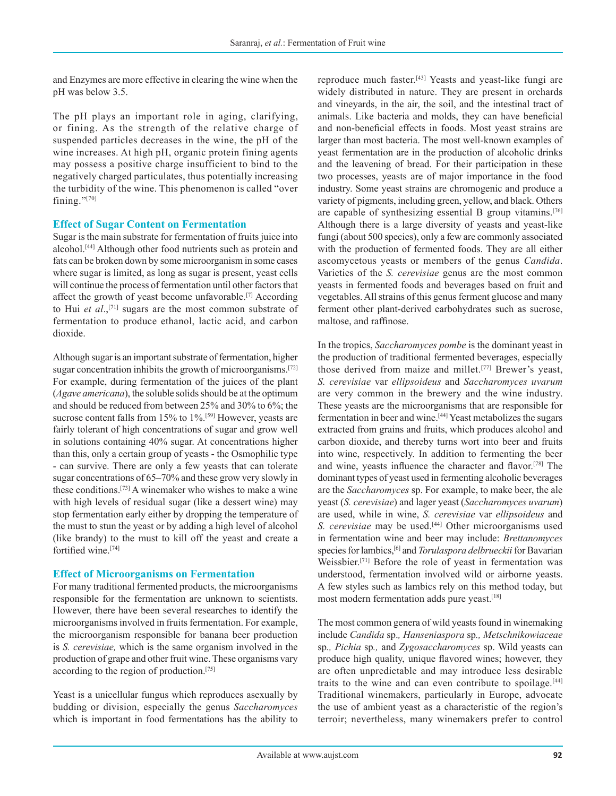and Enzymes are more effective in clearing the wine when the pH was below 3.5.

The pH plays an important role in aging, clarifying, or fining. As the strength of the relative charge of suspended particles decreases in the wine, the pH of the wine increases. At high pH, organic protein fining agents may possess a positive charge insufficient to bind to the negatively charged particulates, thus potentially increasing the turbidity of the wine. This phenomenon is called "over fining." $[70]$ 

#### **Effect of Sugar Content on Fermentation**

Sugar is the main substrate for fermentation of fruits juice into alcohol.[44] Although other food nutrients such as protein and fats can be broken down by some microorganism in some cases where sugar is limited, as long as sugar is present, yeast cells will continue the process of fermentation until other factors that affect the growth of yeast become unfavorable.[7] According to Hui *et al*.,[71] sugars are the most common substrate of fermentation to produce ethanol, lactic acid, and carbon dioxide.

Although sugar is an important substrate of fermentation, higher sugar concentration inhibits the growth of microorganisms.<sup>[72]</sup> For example, during fermentation of the juices of the plant (*Agave americana*), the soluble solids should be at the optimum and should be reduced from between 25% and 30% to 6%; the sucrose content falls from 15% to 1%.<sup>[59]</sup> However, yeasts are fairly tolerant of high concentrations of sugar and grow well in solutions containing 40% sugar. At concentrations higher than this, only a certain group of yeasts - the Osmophilic type - can survive. There are only a few yeasts that can tolerate sugar concentrations of 65–70% and these grow very slowly in these conditions.[73] A winemaker who wishes to make a wine with high levels of residual sugar (like a dessert wine) may stop fermentation early either by dropping the temperature of the must to stun the yeast or by adding a high level of alcohol (like brandy) to the must to kill off the yeast and create a fortified wine<sup>[74]</sup>

#### **Effect of Microorganisms on Fermentation**

For many traditional fermented products, the microorganisms responsible for the fermentation are unknown to scientists. However, there have been several researches to identify the microorganisms involved in fruits fermentation. For example, the microorganism responsible for banana beer production is *S. cerevisiae,* which is the same organism involved in the production of grape and other fruit wine. These organisms vary according to the region of production.[75]

Yeast is a unicellular fungus which reproduces asexually by budding or division, especially the genus *Saccharomyces*  which is important in food fermentations has the ability to

reproduce much faster.[43] Yeasts and yeast-like fungi are widely distributed in nature. They are present in orchards and vineyards, in the air, the soil, and the intestinal tract of animals. Like bacteria and molds, they can have beneficial and non-beneficial effects in foods. Most yeast strains are larger than most bacteria. The most well-known examples of yeast fermentation are in the production of alcoholic drinks and the leavening of bread. For their participation in these two processes, yeasts are of major importance in the food industry. Some yeast strains are chromogenic and produce a variety of pigments, including green, yellow, and black. Others are capable of synthesizing essential B group vitamins.[76] Although there is a large diversity of yeasts and yeast-like fungi (about 500 species), only a few are commonly associated with the production of fermented foods. They are all either ascomycetous yeasts or members of the genus *Candida*. Varieties of the *S. cerevisiae* genus are the most common yeasts in fermented foods and beverages based on fruit and vegetables. All strains of this genus ferment glucose and many ferment other plant-derived carbohydrates such as sucrose, maltose, and raffinose.

In the tropics, *Saccharomyces pombe* is the dominant yeast in the production of traditional fermented beverages, especially those derived from maize and millet.[77] Brewer's yeast, *S. cerevisiae* var *ellipsoideus* and *Saccharomyces uvarum*  are very common in the brewery and the wine industry. These yeasts are the microorganisms that are responsible for fermentation in beer and wine.[44] Yeast metabolizes the sugars extracted from grains and fruits, which produces alcohol and carbon dioxide, and thereby turns wort into beer and fruits into wine, respectively. In addition to fermenting the beer and wine, yeasts influence the character and flavor.[78] The dominant types of yeast used in fermenting alcoholic beverages are the *Saccharomyces* sp. For example, to make beer, the ale yeast (*S. cerevisiae*) and lager yeast (*Saccharomyces uvarum*) are used, while in wine, *S. cerevisiae* var *ellipsoideus* and *S. cerevisiae* may be used.[44] Other microorganisms used in fermentation wine and beer may include: *Brettanomyces*  species for lambics,<sup>[6]</sup> and *Torulaspora delbrueckii* for Bavarian Weissbier.[71] Before the role of yeast in fermentation was understood, fermentation involved wild or airborne yeasts. A few styles such as lambics rely on this method today, but most modern fermentation adds pure yeast.<sup>[18]</sup>

The most common genera of wild yeasts found in winemaking include *Candida* sp.*, Hanseniaspora* sp*., Metschnikowiaceae*  sp*., Pichia* sp*.,* and *Zygosaccharomyces* sp. Wild yeasts can produce high quality, unique flavored wines; however, they are often unpredictable and may introduce less desirable traits to the wine and can even contribute to spoilage.[44] Traditional winemakers, particularly in Europe, advocate the use of ambient yeast as a characteristic of the region's terroir; nevertheless, many winemakers prefer to control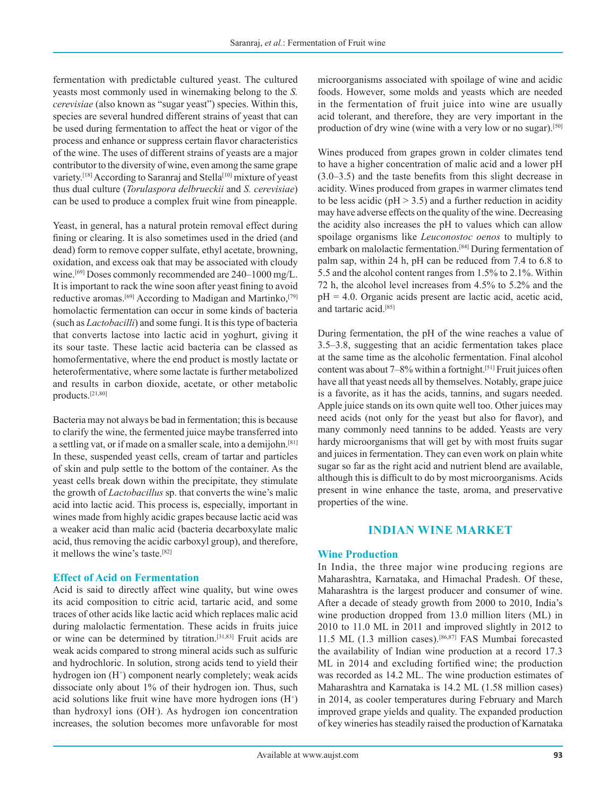fermentation with predictable cultured yeast. The cultured yeasts most commonly used in winemaking belong to the *S. cerevisiae* (also known as "sugar yeast") species. Within this, species are several hundred different strains of yeast that can be used during fermentation to affect the heat or vigor of the process and enhance or suppress certain flavor characteristics of the wine. The uses of different strains of yeasts are a major contributor to the diversity of wine, even among the same grape variety.<sup>[18]</sup> According to Saranraj and Stella<sup>[10]</sup> mixture of yeast thus dual culture (*Torulaspora delbrueckii* and *S. cerevisiae*) can be used to produce a complex fruit wine from pineapple.

Yeast, in general, has a natural protein removal effect during fining or clearing. It is also sometimes used in the dried (and dead) form to remove copper sulfate, ethyl acetate, browning, oxidation, and excess oak that may be associated with cloudy wine.<sup>[69]</sup> Doses commonly recommended are 240–1000 mg/L. It is important to rack the wine soon after yeast fining to avoid reductive aromas.<sup>[69]</sup> According to Madigan and Martinko,<sup>[79]</sup> homolactic fermentation can occur in some kinds of bacteria (such as *Lactobacilli*) and some fungi. It is this type of bacteria that converts lactose into lactic acid in yoghurt, giving it its sour taste. These lactic acid bacteria can be classed as homofermentative, where the end product is mostly lactate or heterofermentative, where some lactate is further metabolized and results in carbon dioxide, acetate, or other metabolic products.[21,80]

Bacteria may not always be bad in fermentation; this is because to clarify the wine, the fermented juice maybe transferred into a settling vat, or if made on a smaller scale, into a demijohn.[81] In these, suspended yeast cells, cream of tartar and particles of skin and pulp settle to the bottom of the container. As the yeast cells break down within the precipitate, they stimulate the growth of *Lactobacillus* sp. that converts the wine's malic acid into lactic acid. This process is, especially, important in wines made from highly acidic grapes because lactic acid was a weaker acid than malic acid (bacteria decarboxylate malic acid, thus removing the acidic carboxyl group), and therefore, it mellows the wine's taste.[82]

#### **Effect of Acid on Fermentation**

Acid is said to directly affect wine quality, but wine owes its acid composition to citric acid, tartaric acid, and some traces of other acids like lactic acid which replaces malic acid during malolactic fermentation. These acids in fruits juice or wine can be determined by titration.[31,83] Fruit acids are weak acids compared to strong mineral acids such as sulfuric and hydrochloric. In solution, strong acids tend to yield their hydrogen ion (H<sup>+</sup>) component nearly completely; weak acids dissociate only about 1% of their hydrogen ion. Thus, such acid solutions like fruit wine have more hydrogen ions (H<sup>+</sup>) than hydroxyl ions (OH- ). As hydrogen ion concentration increases, the solution becomes more unfavorable for most

microorganisms associated with spoilage of wine and acidic foods. However, some molds and yeasts which are needed in the fermentation of fruit juice into wine are usually acid tolerant, and therefore, they are very important in the production of dry wine (wine with a very low or no sugar).[50]

Wines produced from grapes grown in colder climates tend to have a higher concentration of malic acid and a lower pH (3.0–3.5) and the taste benefits from this slight decrease in acidity. Wines produced from grapes in warmer climates tend to be less acidic ( $pH > 3.5$ ) and a further reduction in acidity may have adverse effects on the quality of the wine. Decreasing the acidity also increases the pH to values which can allow spoilage organisms like *Leuconostoc oenos* to multiply to embark on malolactic fermentation.[84] During fermentation of palm sap, within 24 h, pH can be reduced from 7.4 to 6.8 to 5.5 and the alcohol content ranges from 1.5% to 2.1%. Within 72 h, the alcohol level increases from 4.5% to 5.2% and the  $pH = 4.0$ . Organic acids present are lactic acid, acetic acid, and tartaric acid.[85]

During fermentation, the pH of the wine reaches a value of 3.5–3.8, suggesting that an acidic fermentation takes place at the same time as the alcoholic fermentation. Final alcohol content was about 7–8% within a fortnight.<sup>[51]</sup> Fruit juices often have all that yeast needs all by themselves. Notably, grape juice is a favorite, as it has the acids, tannins, and sugars needed. Apple juice stands on its own quite well too. Other juices may need acids (not only for the yeast but also for flavor), and many commonly need tannins to be added. Yeasts are very hardy microorganisms that will get by with most fruits sugar and juices in fermentation. They can even work on plain white sugar so far as the right acid and nutrient blend are available, although this is difficult to do by most microorganisms. Acids present in wine enhance the taste, aroma, and preservative properties of the wine.

#### **INDIAN WINE MARKET**

#### **Wine Production**

In India, the three major wine producing regions are Maharashtra, Karnataka, and Himachal Pradesh. Of these, Maharashtra is the largest producer and consumer of wine. After a decade of steady growth from 2000 to 2010, India's wine production dropped from 13.0 million liters (ML) in 2010 to 11.0 ML in 2011 and improved slightly in 2012 to 11.5 ML (1.3 million cases).[86,87] FAS Mumbai forecasted the availability of Indian wine production at a record 17.3 ML in 2014 and excluding fortified wine; the production was recorded as 14.2 ML. The wine production estimates of Maharashtra and Karnataka is 14.2 ML (1.58 million cases) in 2014, as cooler temperatures during February and March improved grape yields and quality. The expanded production of key wineries has steadily raised the production of Karnataka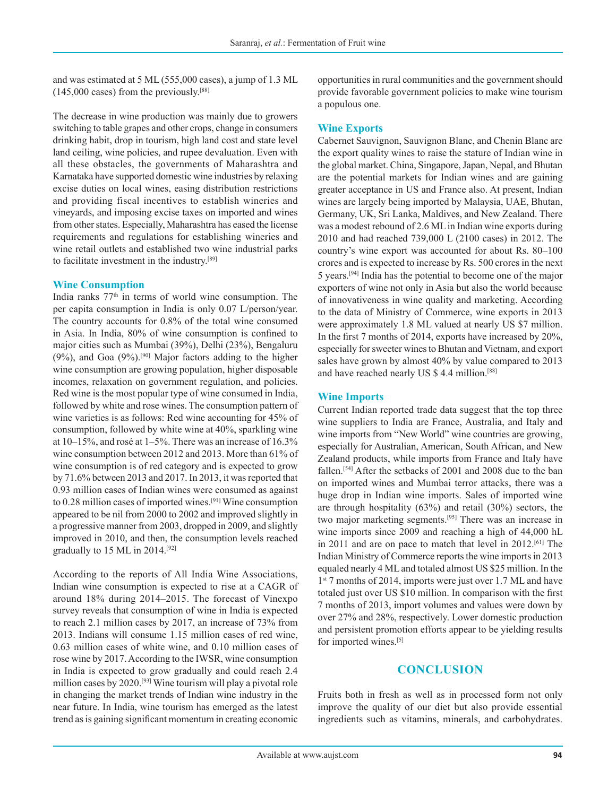and was estimated at 5 ML (555,000 cases), a jump of 1.3 ML  $(145,000 \text{ cases})$  from the previously.<sup>[88]</sup>

The decrease in wine production was mainly due to growers switching to table grapes and other crops, change in consumers drinking habit, drop in tourism, high land cost and state level land ceiling, wine policies, and rupee devaluation. Even with all these obstacles, the governments of Maharashtra and Karnataka have supported domestic wine industries by relaxing excise duties on local wines, easing distribution restrictions and providing fiscal incentives to establish wineries and vineyards, and imposing excise taxes on imported and wines from other states. Especially, Maharashtra has eased the license requirements and regulations for establishing wineries and wine retail outlets and established two wine industrial parks to facilitate investment in the industry.[89]

#### **Wine Consumption**

India ranks  $77<sup>th</sup>$  in terms of world wine consumption. The per capita consumption in India is only 0.07 L/person/year. The country accounts for 0.8% of the total wine consumed in Asia. In India, 80% of wine consumption is confined to major cities such as Mumbai (39%), Delhi (23%), Bengaluru  $(9\%)$ , and Goa  $(9\%)$ .<sup>[90]</sup> Major factors adding to the higher wine consumption are growing population, higher disposable incomes, relaxation on government regulation, and policies. Red wine is the most popular type of wine consumed in India, followed by white and rose wines. The consumption pattern of wine varieties is as follows: Red wine accounting for 45% of consumption, followed by white wine at 40%, sparkling wine at 10–15%, and rosé at 1–5%. There was an increase of 16.3% wine consumption between 2012 and 2013. More than 61% of wine consumption is of red category and is expected to grow by 71.6% between 2013 and 2017. In 2013, it was reported that 0.93 million cases of Indian wines were consumed as against to 0.28 million cases of imported wines.[91] Wine consumption appeared to be nil from 2000 to 2002 and improved slightly in a progressive manner from 2003, dropped in 2009, and slightly improved in 2010, and then, the consumption levels reached gradually to 15 ML in 2014.[92]

According to the reports of All India Wine Associations, Indian wine consumption is expected to rise at a CAGR of around 18% during 2014–2015. The forecast of Vinexpo survey reveals that consumption of wine in India is expected to reach 2.1 million cases by 2017, an increase of 73% from 2013. Indians will consume 1.15 million cases of red wine, 0.63 million cases of white wine, and 0.10 million cases of rose wine by 2017. According to the IWSR, wine consumption in India is expected to grow gradually and could reach 2.4 million cases by 2020.[93] Wine tourism will play a pivotal role in changing the market trends of Indian wine industry in the near future. In India, wine tourism has emerged as the latest trend as is gaining significant momentum in creating economic opportunities in rural communities and the government should provide favorable government policies to make wine tourism a populous one.

#### **Wine Exports**

Cabernet Sauvignon, Sauvignon Blanc, and Chenin Blanc are the export quality wines to raise the stature of Indian wine in the global market. China, Singapore, Japan, Nepal, and Bhutan are the potential markets for Indian wines and are gaining greater acceptance in US and France also. At present, Indian wines are largely being imported by Malaysia, UAE, Bhutan, Germany, UK, Sri Lanka, Maldives, and New Zealand. There was a modest rebound of 2.6 ML in Indian wine exports during 2010 and had reached 739,000 L (2100 cases) in 2012. The country's wine export was accounted for about Rs. 80–100 crores and is expected to increase by Rs. 500 crores in the next 5 years.[94] India has the potential to become one of the major exporters of wine not only in Asia but also the world because of innovativeness in wine quality and marketing. According to the data of Ministry of Commerce, wine exports in 2013 were approximately 1.8 ML valued at nearly US \$7 million. In the first 7 months of 2014, exports have increased by 20%, especially for sweeter wines to Bhutan and Vietnam, and export sales have grown by almost 40% by value compared to 2013 and have reached nearly US \$ 4.4 million.[88]

#### **Wine Imports**

Current Indian reported trade data suggest that the top three wine suppliers to India are France, Australia, and Italy and wine imports from "New World" wine countries are growing, especially for Australian, American, South African, and New Zealand products, while imports from France and Italy have fallen.<sup>[54]</sup> After the setbacks of 2001 and 2008 due to the ban on imported wines and Mumbai terror attacks, there was a huge drop in Indian wine imports. Sales of imported wine are through hospitality (63%) and retail (30%) sectors, the two major marketing segments.[95] There was an increase in wine imports since 2009 and reaching a high of 44,000 hL in 2011 and are on pace to match that level in 2012.[61] The Indian Ministry of Commerce reports the wine imports in 2013 equaled nearly 4 ML and totaled almost US \$25 million. In the 1<sup>st</sup> 7 months of 2014, imports were just over 1.7 ML and have totaled just over US \$10 million. In comparison with the first 7 months of 2013, import volumes and values were down by over 27% and 28%, respectively. Lower domestic production and persistent promotion efforts appear to be yielding results for imported wines.[5]

#### **CONCLUSION**

Fruits both in fresh as well as in processed form not only improve the quality of our diet but also provide essential ingredients such as vitamins, minerals, and carbohydrates.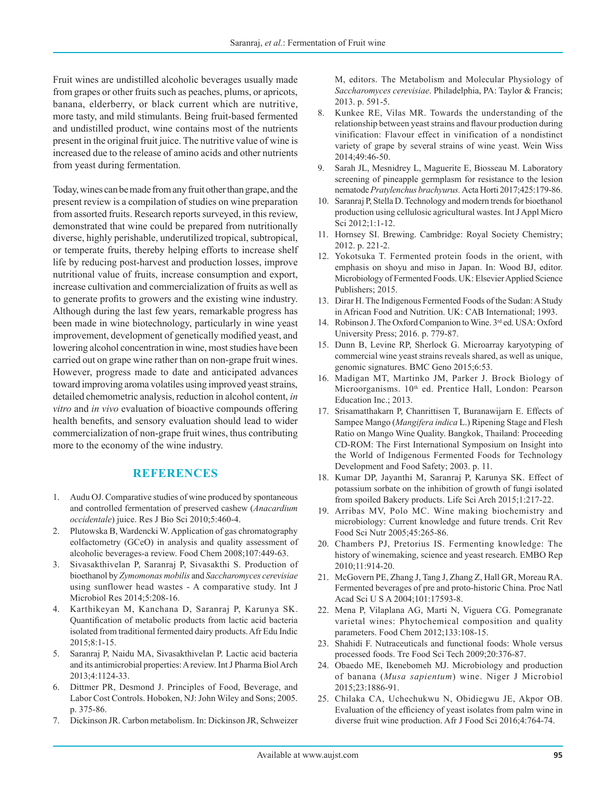Fruit wines are undistilled alcoholic beverages usually made from grapes or other fruits such as peaches, plums, or apricots, banana, elderberry, or black current which are nutritive, more tasty, and mild stimulants. Being fruit-based fermented and undistilled product, wine contains most of the nutrients present in the original fruit juice. The nutritive value of wine is increased due to the release of amino acids and other nutrients from yeast during fermentation.

Today, wines can be made from any fruit other than grape, and the present review is a compilation of studies on wine preparation from assorted fruits. Research reports surveyed, in this review, demonstrated that wine could be prepared from nutritionally diverse, highly perishable, underutilized tropical, subtropical, or temperate fruits, thereby helping efforts to increase shelf life by reducing post-harvest and production losses, improve nutritional value of fruits, increase consumption and export, increase cultivation and commercialization of fruits as well as to generate profits to growers and the existing wine industry. Although during the last few years, remarkable progress has been made in wine biotechnology, particularly in wine yeast improvement, development of genetically modified yeast, and lowering alcohol concentration in wine, most studies have been carried out on grape wine rather than on non-grape fruit wines. However, progress made to date and anticipated advances toward improving aroma volatiles using improved yeast strains, detailed chemometric analysis, reduction in alcohol content, *in vitro* and *in vivo* evaluation of bioactive compounds offering health benefits, and sensory evaluation should lead to wider commercialization of non-grape fruit wines, thus contributing more to the economy of the wine industry.

#### **REFERENCES**

- 1. Audu OJ. Comparative studies of wine produced by spontaneous and controlled fermentation of preserved cashew (*Anacardium occidentale*) juice. Res J Bio Sci 2010;5:460-4.
- 2. Plutowska B, Wardencki W. Application of gas chromatography eolfactometry (GCeO) in analysis and quality assessment of alcoholic beverages-a review. Food Chem 2008;107:449-63.
- 3. Sivasakthivelan P, Saranraj P, Sivasakthi S. Production of bioethanol by *Zymomonas mobilis* and *Saccharomyces cerevisiae* using sunflower head wastes - A comparative study. Int J Microbiol Res 2014;5:208-16.
- 4. Karthikeyan M, Kanchana D, Saranraj P, Karunya SK. Quantification of metabolic products from lactic acid bacteria isolated from traditional fermented dairy products. Afr Edu Indic 2015;8:1-15.
- 5. Saranraj P, Naidu MA, Sivasakthivelan P. Lactic acid bacteria and its antimicrobial properties: Areview. Int J Pharma Biol Arch 2013;4:1124-33.
- 6. Dittmer PR, Desmond J. Principles of Food, Beverage, and Labor Cost Controls. Hoboken, NJ: John Wiley and Sons; 2005. p. 375-86.
- 7. Dickinson JR. Carbon metabolism. In: Dickinson JR, Schweizer

M, editors. The Metabolism and Molecular Physiology of *Saccharomyces cerevisiae*. Philadelphia, PA: Taylor & Francis; 2013. p. 591-5.

- 8. Kunkee RE, Vilas MR. Towards the understanding of the relationship between yeast strains and flavour production during vinification: Flavour effect in vinification of a nondistinct variety of grape by several strains of wine yeast. Wein Wiss 2014;49:46-50.
- 9. Sarah JL, Mesnidrey L, Maguerite E, Biosseau M. Laboratory screening of pineapple germplasm for resistance to the lesion nematode *Pratylenchus brachyurus.* Acta Horti 2017;425:179-86.
- 10. Saranraj P, Stella D. Technology and modern trends for bioethanol production using cellulosic agricultural wastes. Int J Appl Micro Sci 2012;1:1-12.
- 11. Hornsey SI. Brewing. Cambridge: Royal Society Chemistry; 2012. p. 221-2.
- 12. Yokotsuka T. Fermented protein foods in the orient, with emphasis on shoyu and miso in Japan. In: Wood BJ, editor. Microbiology of Fermented Foods. UK: Elsevier Applied Science Publishers; 2015.
- 13. Dirar H. The Indigenous Fermented Foods of the Sudan: AStudy in African Food and Nutrition. UK: CAB International; 1993.
- 14. Robinson J. The Oxford Companion to Wine. 3rd ed. USA: Oxford University Press; 2016. p. 779-87.
- 15. Dunn B, Levine RP, Sherlock G. Microarray karyotyping of commercial wine yeast strains reveals shared, as well as unique, genomic signatures. BMC Geno 2015;6:53.
- 16. Madigan MT, Martinko JM, Parker J. Brock Biology of Microorganisms. 10<sup>th</sup> ed. Prentice Hall, London: Pearson Education Inc.; 2013.
- 17. Srisamatthakarn P, Chanrittisen T, Buranawijarn E. Effects of Sampee Mango (*Mangifera indica* L.) Ripening Stage and Flesh Ratio on Mango Wine Quality. Bangkok, Thailand: Proceeding CD-ROM: The First International Symposium on Insight into the World of Indigenous Fermented Foods for Technology Development and Food Safety; 2003. p. 11.
- 18. Kumar DP, Jayanthi M, Saranraj P, Karunya SK. Effect of potassium sorbate on the inhibition of growth of fungi isolated from spoiled Bakery products. Life Sci Arch 2015;1:217-22.
- 19. Arribas MV, Polo MC. Wine making biochemistry and microbiology: Current knowledge and future trends. Crit Rev Food Sci Nutr 2005;45:265-86.
- 20. Chambers PJ, Pretorius IS. Fermenting knowledge: The history of winemaking, science and yeast research. EMBO Rep 2010;11:914-20.
- 21. McGovern PE, Zhang J, Tang J, Zhang Z, Hall GR, Moreau RA. Fermented beverages of pre and proto-historic China. Proc Natl Acad Sci U S A 2004;101:17593-8.
- 22. Mena P, Vilaplana AG, Marti N, Viguera CG. Pomegranate varietal wines: Phytochemical composition and quality parameters. Food Chem 2012;133:108-15.
- 23. Shahidi F. Nutraceuticals and functional foods: Whole versus processed foods. Tre Food Sci Tech 2009;20:376-87.
- 24. Obaedo ME, Ikenebomeh MJ. Microbiology and production of banana (*Musa sapientum*) wine. Niger J Microbiol 2015;23:1886-91.
- 25. Chilaka CA, Uchechukwu N, Obidiegwu JE, Akpor OB. Evaluation of the efficiency of yeast isolates from palm wine in diverse fruit wine production. Afr J Food Sci 2016;4:764-74.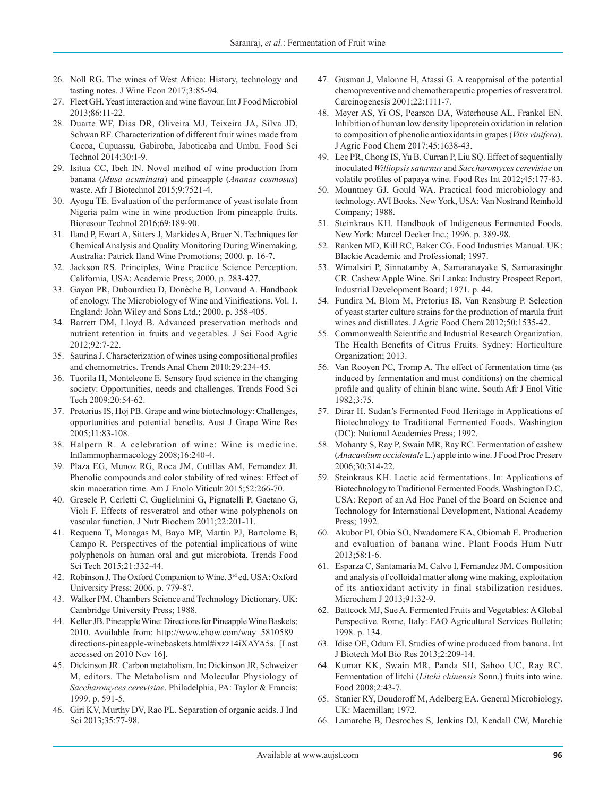- 26. Noll RG. The wines of West Africa: History, technology and tasting notes. J Wine Econ 2017;3:85-94.
- 27. Fleet GH. Yeast interaction and wine flavour. Int J Food Microbiol 2013;86:11-22.
- 28. Duarte WF, Dias DR, Oliveira MJ, Teixeira JA, Silva JD, Schwan RF. Characterization of different fruit wines made from Cocoa, Cupuassu, Gabiroba, Jaboticaba and Umbu. Food Sci Technol 2014;30:1-9.
- 29. Isitua CC, Ibeh IN. Novel method of wine production from banana (*Musa acuminata*) and pineapple (*Ananas cosmosus*) waste. Afr J Biotechnol 2015;9:7521-4.
- 30. Ayogu TE. Evaluation of the performance of yeast isolate from Nigeria palm wine in wine production from pineapple fruits. Bioresour Technol 2016;69:189-90.
- 31. Iland P, Ewart A, Sitters J, Markides A, Bruer N. Techniques for Chemical Analysis and Quality Monitoring During Winemaking. Australia: Patrick Iland Wine Promotions; 2000. p. 16-7.
- 32. Jackson RS. Principles, Wine Practice Science Perception. California*,* USA: Academic Press; 2000. p. 283-427.
- 33. Gayon PR, Dubourdieu D, Donèche B, Lonvaud A. Handbook of enology. The Microbiology of Wine and Vinifications. Vol. 1. England: John Wiley and Sons Ltd.; 2000. p. 358-405.
- 34. Barrett DM, Lloyd B. Advanced preservation methods and nutrient retention in fruits and vegetables. J Sci Food Agric 2012;92:7-22.
- 35. Saurina J. Characterization of wines using compositional profiles and chemometrics. Trends Anal Chem 2010;29:234-45.
- 36. Tuorila H, Monteleone E. Sensory food science in the changing society: Opportunities, needs and challenges. Trends Food Sci Tech 2009;20:54-62.
- 37. Pretorius IS, Hoj PB. Grape and wine biotechnology: Challenges, opportunities and potential benefits. Aust J Grape Wine Res 2005;11:83-108.
- 38. Halpern R. A celebration of wine: Wine is medicine. Inflammopharmacology 2008;16:240-4.
- 39. Plaza EG, Munoz RG, Roca JM, Cutillas AM, Fernandez JI. Phenolic compounds and color stability of red wines: Effect of skin maceration time. Am J Enolo Viticult 2015;52:266-70.
- 40. Gresele P, Cerletti C, Guglielmini G, Pignatelli P, Gaetano G, Violi F. Effects of resveratrol and other wine polyphenols on vascular function. J Nutr Biochem 2011;22:201-11.
- 41. Requena T, Monagas M, Bayo MP, Martin PJ, Bartolome B, Campo R. Perspectives of the potential implications of wine polyphenols on human oral and gut microbiota. Trends Food Sci Tech 2015;21:332-44.
- 42. Robinson J. The Oxford Companion to Wine. 3rd ed. USA: Oxford University Press; 2006. p. 779-87.
- 43. Walker PM. Chambers Science and Technology Dictionary. UK: Cambridge University Press; 1988.
- 44. Keller JB. Pineapple Wine: Directions for Pineapple Wine Baskets; 2010. Available from: http://www.ehow.com/way\_5810589\_ directions-pineapple-winebaskets.html#ixzz14iXAYA5s. [Last accessed on 2010 Nov 16].
- 45. Dickinson JR. Carbon metabolism. In: Dickinson JR, Schweizer M, editors. The Metabolism and Molecular Physiology of *Saccharomyces cerevisiae*. Philadelphia, PA: Taylor & Francis; 1999. p. 591-5.
- 46. Giri KV, Murthy DV, Rao PL. Separation of organic acids. J Ind Sci 2013;35:77-98.
- 47. Gusman J, Malonne H, Atassi G. A reappraisal of the potential chemopreventive and chemotherapeutic properties of resveratrol. Carcinogenesis 2001;22:1111-7.
- 48. Meyer AS, Yi OS, Pearson DA, Waterhouse AL, Frankel EN. Inhibition of human low density lipoprotein oxidation in relation to composition of phenolic antioxidants in grapes (*Vitis vinifera*). J Agric Food Chem 2017;45:1638-43.
- 49. Lee PR, Chong IS, Yu B, Curran P, Liu SQ. Effect of sequentially inoculated *Williopsis saturnus* and *Saccharomyces cerevisiae* on volatile profiles of papaya wine. Food Res Int 2012;45:177-83.
- 50. Mountney GJ, Gould WA. Practical food microbiology and technology. AVI Books. NewYork, USA: Van Nostrand Reinhold Company; 1988.
- 51. Steinkraus KH. Handbook of Indigenous Fermented Foods. New York: Marcel Decker Inc.; 1996. p. 389-98.
- 52. Ranken MD, Kill RC, Baker CG. Food Industries Manual. UK: Blackie Academic and Professional; 1997.
- 53. Wimalsiri P, Sinnatamby A, Samaranayake S, Samarasinghr CR. Cashew Apple Wine. Sri Lanka: Industry Prospect Report, Industrial Development Board; 1971. p. 44.
- 54. Fundira M, Blom M, Pretorius IS, Van Rensburg P. Selection of yeast starter culture strains for the production of marula fruit wines and distillates. J Agric Food Chem 2012;50:1535-42.
- 55. Commonwealth Scientific and Industrial Research Organization. The Health Benefits of Citrus Fruits. Sydney: Horticulture Organization; 2013.
- 56. Van Rooyen PC, Tromp A. The effect of fermentation time (as induced by fermentation and must conditions) on the chemical profile and quality of chinin blanc wine. South Afr J Enol Vitic 1982;3:75.
- 57. Dirar H. Sudan's Fermented Food Heritage in Applications of Biotechnology to Traditional Fermented Foods. Washington (DC): National Academies Press; 1992.
- 58. Mohanty S, Ray P, Swain MR, Ray RC. Fermentation of cashew (*Anacardium occidentale* L.) apple into wine. J Food Proc Preserv 2006;30:314-22.
- 59. Steinkraus KH. Lactic acid fermentations. In: Applications of Biotechnology to Traditional Fermented Foods. Washington D.C, USA: Report of an Ad Hoc Panel of the Board on Science and Technology for International Development, National Academy Press; 1992.
- 60. Akubor PI, Obio SO, Nwadomere KA, Obiomah E. Production and evaluation of banana wine. Plant Foods Hum Nutr 2013;58:1-6.
- 61. Esparza C, Santamaria M, Calvo I, Fernandez JM. Composition and analysis of colloidal matter along wine making, exploitation of its antioxidant activity in final stabilization residues. Microchem J 2013;91:32-9.
- 62. Battcock MJ, Sue A. Fermented Fruits and Vegetables: AGlobal Perspective. Rome, Italy: FAO Agricultural Services Bulletin; 1998. p. 134.
- 63. Idise OE, Odum EI. Studies of wine produced from banana. Int J Biotech Mol Bio Res 2013;2:209-14.
- 64. Kumar KK, Swain MR, Panda SH, Sahoo UC, Ray RC. Fermentation of litchi (*Litchi chinensis* Sonn.) fruits into wine. Food 2008;2:43-7.
- 65. Stanier RY, Doudoroff M, Adelberg EA. General Microbiology. UK: Macmillan; 1972.
- 66. Lamarche B, Desroches S, Jenkins DJ, Kendall CW, Marchie